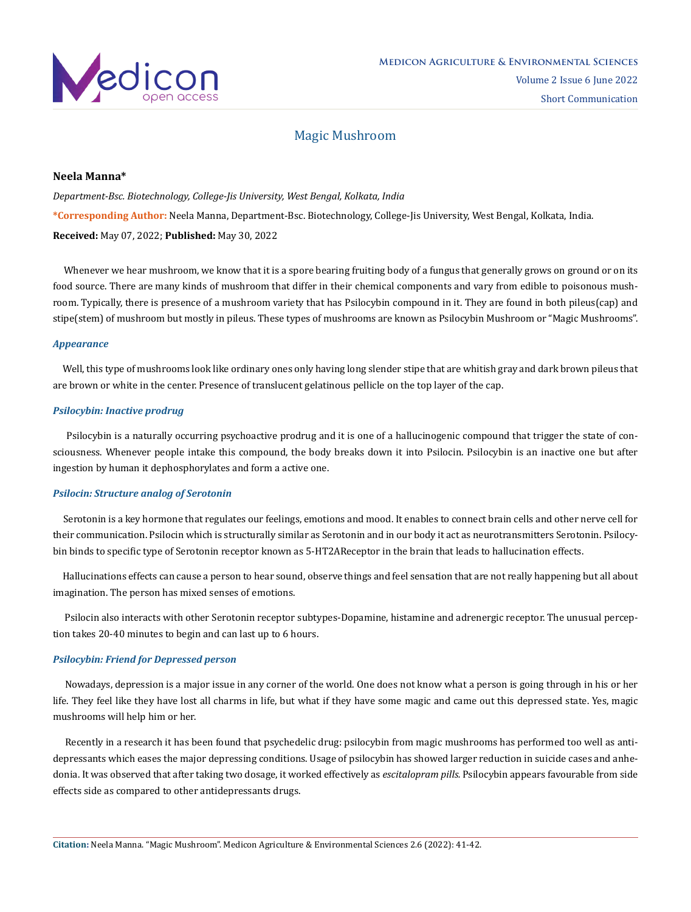

# Magic Mushroom

# **Neela Manna\***

*Department-Bsc. Biotechnology, College-Jis University, West Bengal, Kolkata, India* **\*Corresponding Author:** Neela Manna, Department-Bsc. Biotechnology, College-Jis University, West Bengal, Kolkata, India. **Received:** May 07, 2022; **Published:** May 30, 2022

Whenever we hear mushroom, we know that it is a spore bearing fruiting body of a fungus that generally grows on ground or on its food source. There are many kinds of mushroom that differ in their chemical components and vary from edible to poisonous mushroom. Typically, there is presence of a mushroom variety that has Psilocybin compound in it. They are found in both pileus(cap) and stipe(stem) of mushroom but mostly in pileus. These types of mushrooms are known as Psilocybin Mushroom or "Magic Mushrooms".

#### *Appearance*

 Well, this type of mushrooms look like ordinary ones only having long slender stipe that are whitish gray and dark brown pileus that are brown or white in the center. Presence of translucent gelatinous pellicle on the top layer of the cap.

## *Psilocybin: Inactive prodrug*

 Psilocybin is a naturally occurring psychoactive prodrug and it is one of a hallucinogenic compound that trigger the state of consciousness. Whenever people intake this compound, the body breaks down it into Psilocin. Psilocybin is an inactive one but after ingestion by human it dephosphorylates and form a active one.

# *Psilocin: Structure analog of Serotonin*

 Serotonin is a key hormone that regulates our feelings, emotions and mood. It enables to connect brain cells and other nerve cell for their communication. Psilocin which is structurally similar as Serotonin and in our body it act as neurotransmitters Serotonin. Psilocybin binds to specific type of Serotonin receptor known as 5-HT2AReceptor in the brain that leads to hallucination effects.

 Hallucinations effects can cause a person to hear sound, observe things and feel sensation that are not really happening but all about imagination. The person has mixed senses of emotions.

 Psilocin also interacts with other Serotonin receptor subtypes-Dopamine, histamine and adrenergic receptor. The unusual perception takes 20-40 minutes to begin and can last up to 6 hours.

#### *Psilocybin: Friend for Depressed person*

 Nowadays, depression is a major issue in any corner of the world. One does not know what a person is going through in his or her life. They feel like they have lost all charms in life, but what if they have some magic and came out this depressed state. Yes, magic mushrooms will help him or her.

 Recently in a research it has been found that psychedelic drug: psilocybin from magic mushrooms has performed too well as antidepressants which eases the major depressing conditions. Usage of psilocybin has showed larger reduction in suicide cases and anhedonia. It was observed that after taking two dosage, it worked effectively as *escitalopram pills.* Psilocybin appears favourable from side effects side as compared to other antidepressants drugs.